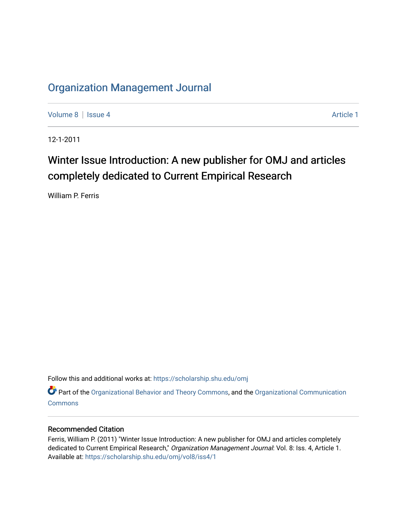### [Organization Management Journal](https://scholarship.shu.edu/omj)

[Volume 8](https://scholarship.shu.edu/omj/vol8) | [Issue 4](https://scholarship.shu.edu/omj/vol8/iss4) Article 1

12-1-2011

## Winter Issue Introduction: A new publisher for OMJ and articles completely dedicated to Current Empirical Research

William P. Ferris

Follow this and additional works at: [https://scholarship.shu.edu/omj](https://scholarship.shu.edu/omj?utm_source=scholarship.shu.edu%2Fomj%2Fvol8%2Fiss4%2F1&utm_medium=PDF&utm_campaign=PDFCoverPages) 

Part of the [Organizational Behavior and Theory Commons,](http://network.bepress.com/hgg/discipline/639?utm_source=scholarship.shu.edu%2Fomj%2Fvol8%2Fiss4%2F1&utm_medium=PDF&utm_campaign=PDFCoverPages) and the [Organizational Communication](http://network.bepress.com/hgg/discipline/335?utm_source=scholarship.shu.edu%2Fomj%2Fvol8%2Fiss4%2F1&utm_medium=PDF&utm_campaign=PDFCoverPages) **[Commons](http://network.bepress.com/hgg/discipline/335?utm_source=scholarship.shu.edu%2Fomj%2Fvol8%2Fiss4%2F1&utm_medium=PDF&utm_campaign=PDFCoverPages)** 

#### Recommended Citation

Ferris, William P. (2011) "Winter Issue Introduction: A new publisher for OMJ and articles completely dedicated to Current Empirical Research," Organization Management Journal: Vol. 8: Iss. 4, Article 1. Available at: [https://scholarship.shu.edu/omj/vol8/iss4/1](https://scholarship.shu.edu/omj/vol8/iss4/1?utm_source=scholarship.shu.edu%2Fomj%2Fvol8%2Fiss4%2F1&utm_medium=PDF&utm_campaign=PDFCoverPages)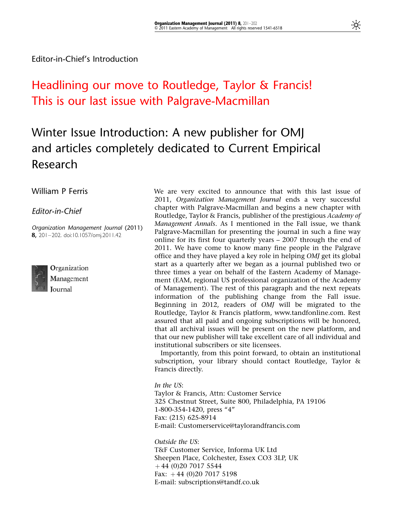## Headlining our move to Routledge, Taylor & Francis! This is our last issue with Palgrave-Macmillan

# Winter Issue Introduction: A new publisher for OMJ and articles completely dedicated to Current Empirical Research

#### William P Ferris

Editor-in-Chief

Organization Management Journal (2011) 8, 201–202. doi:10.1057/omj.2011.42

Organization Management Journal

We are very excited to announce that with this last issue of 2011, Organization Management Journal ends a very successful chapter with Palgrave-Macmillan and begins a new chapter with Routledge, Taylor & Francis, publisher of the prestigious Academy of Management Annals. As I mentioned in the Fall issue, we thank Palgrave-Macmillan for presenting the journal in such a fine way online for its first four quarterly years – 2007 through the end of 2011. We have come to know many fine people in the Palgrave office and they have played a key role in helping OMJ get its global start as a quarterly after we began as a journal published two or three times a year on behalf of the Eastern Academy of Management (EAM, regional US professional organization of the Academy of Management). The rest of this paragraph and the next repeats information of the publishing change from the Fall issue. Beginning in 2012, readers of OMJ will be migrated to the Routledge, Taylor & Francis platform, www.tandfonline.com. Rest assured that all paid and ongoing subscriptions will be honored, that all archival issues will be present on the new platform, and that our new publisher will take excellent care of all individual and institutional subscribers or site licensees.

Importantly, from this point forward, to obtain an institutional subscription, your library should contact Routledge, Taylor & Francis directly.

#### In the US:

Taylor & Francis, Attn: Customer Service 325 Chestnut Street, Suite 800, Philadelphia, PA 19106 1-800-354-1420, press "4" Fax: (215) 625-8914 E-mail: Customerservice@taylorandfrancis.com

Outside the US: T&F Customer Service, Informa UK Ltd Sheepen Place, Colchester, Essex CO3 3LP, UK þ 44 (0)20 7017 5544 Fax:  $+44$  (0)20 7017 5198 E-mail: subscriptions@tandf.co.uk